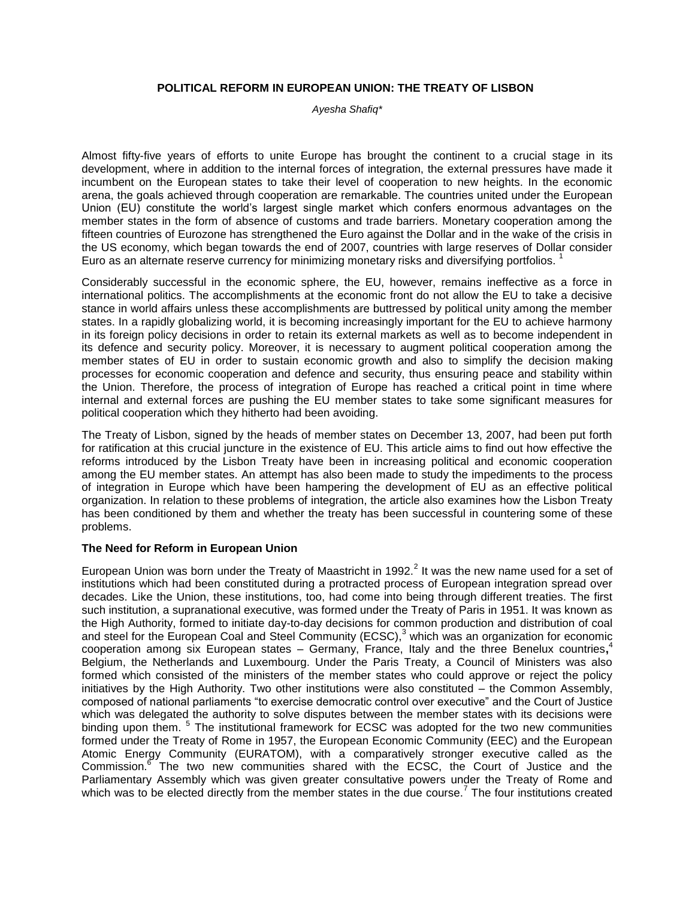## **POLITICAL REFORM IN EUROPEAN UNION: THE TREATY OF LISBON**

*Ayesha Shafiq\**

Almost fifty-five years of efforts to unite Europe has brought the continent to a crucial stage in its development, where in addition to the internal forces of integration, the external pressures have made it incumbent on the European states to take their level of cooperation to new heights. In the economic arena, the goals achieved through cooperation are remarkable. The countries united under the European Union (EU) constitute the world"s largest single market which confers enormous advantages on the member states in the form of absence of customs and trade barriers. Monetary cooperation among the fifteen countries of Eurozone has strengthened the Euro against the Dollar and in the wake of the crisis in the US economy, which began towards the end of 2007, countries with large reserves of Dollar consider Euro as an alternate reserve currency for minimizing monetary risks and diversifying portfolios.

Considerably successful in the economic sphere, the EU, however, remains ineffective as a force in international politics. The accomplishments at the economic front do not allow the EU to take a decisive stance in world affairs unless these accomplishments are buttressed by political unity among the member states. In a rapidly globalizing world, it is becoming increasingly important for the EU to achieve harmony in its foreign policy decisions in order to retain its external markets as well as to become independent in its defence and security policy. Moreover, it is necessary to augment political cooperation among the member states of EU in order to sustain economic growth and also to simplify the decision making processes for economic cooperation and defence and security, thus ensuring peace and stability within the Union. Therefore, the process of integration of Europe has reached a critical point in time where internal and external forces are pushing the EU member states to take some significant measures for political cooperation which they hitherto had been avoiding.

The Treaty of Lisbon, signed by the heads of member states on December 13, 2007, had been put forth for ratification at this crucial juncture in the existence of EU. This article aims to find out how effective the reforms introduced by the Lisbon Treaty have been in increasing political and economic cooperation among the EU member states. An attempt has also been made to study the impediments to the process of integration in Europe which have been hampering the development of EU as an effective political organization. In relation to these problems of integration, the article also examines how the Lisbon Treaty has been conditioned by them and whether the treaty has been successful in countering some of these problems.

### **The Need for Reform in European Union**

European Union was born under the Treaty of Maastricht in 1992.<sup>2</sup> It was the new name used for a set of institutions which had been constituted during a protracted process of European integration spread over decades. Like the Union, these institutions, too, had come into being through different treaties. The first such institution, a supranational executive, was formed under the Treaty of Paris in 1951. It was known as the High Authority, formed to initiate day-to-day decisions for common production and distribution of coal and steel for the European Coal and Steel Community (ECSC),<sup>3</sup> which was an organization for economic cooperation among six European states – Germany, France, Italy and the three Benelux countries**,** 4 Belgium, the Netherlands and Luxembourg. Under the Paris Treaty, a Council of Ministers was also formed which consisted of the ministers of the member states who could approve or reject the policy initiatives by the High Authority. Two other institutions were also constituted – the Common Assembly, composed of national parliaments "to exercise democratic control over executive" and the Court of Justice which was delegated the authority to solve disputes between the member states with its decisions were binding upon them. <sup>5</sup> The institutional framework for ECSC was adopted for the two new communities formed under the Treaty of Rome in 1957, the European Economic Community (EEC) and the European Atomic Energy Community (EURATOM), with a comparatively stronger executive called as the Commission.<sup>6</sup> The two new communities shared with the ECSC, the Court of Justice and the Parliamentary Assembly which was given greater consultative powers under the Treaty of Rome and which was to be elected directly from the member states in the due course.<sup>7</sup> The four institutions created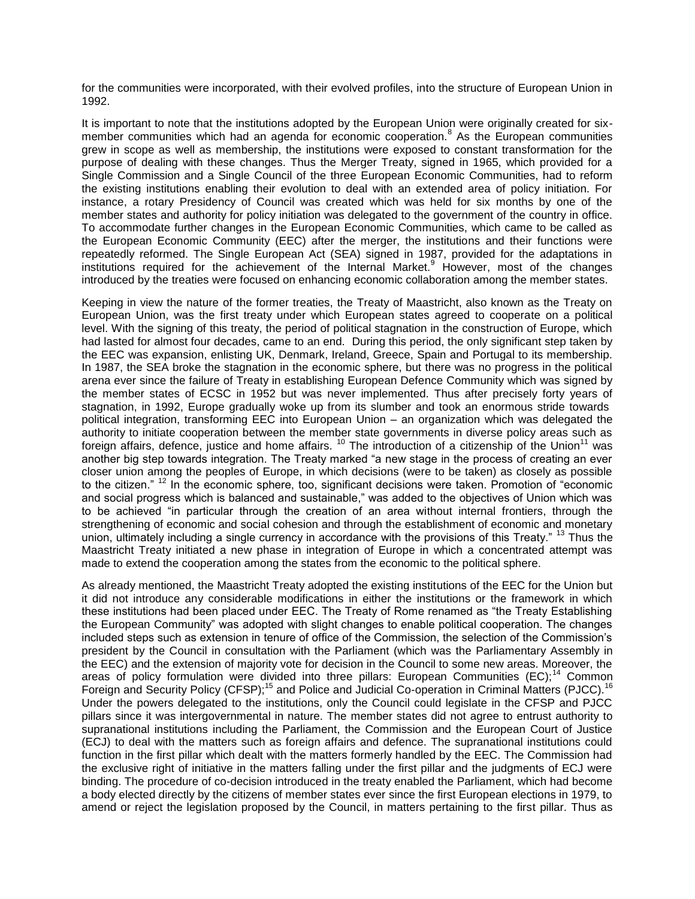for the communities were incorporated, with their evolved profiles, into the structure of European Union in 1992.

It is important to note that the institutions adopted by the European Union were originally created for sixmember communities which had an agenda for economic cooperation.<sup>8</sup> As the European communities grew in scope as well as membership, the institutions were exposed to constant transformation for the purpose of dealing with these changes. Thus the Merger Treaty, signed in 1965, which provided for a Single Commission and a Single Council of the three European Economic Communities, had to reform the existing institutions enabling their evolution to deal with an extended area of policy initiation. For instance, a rotary Presidency of Council was created which was held for six months by one of the member states and authority for policy initiation was delegated to the government of the country in office. To accommodate further changes in the European Economic Communities, which came to be called as the European Economic Community (EEC) after the merger, the institutions and their functions were repeatedly reformed. The Single European Act (SEA) signed in 1987, provided for the adaptations in institutions required for the achievement of the Internal Market.<sup>9</sup> However, most of the changes introduced by the treaties were focused on enhancing economic collaboration among the member states.

Keeping in view the nature of the former treaties, the Treaty of Maastricht, also known as the Treaty on European Union, was the first treaty under which European states agreed to cooperate on a political level. With the signing of this treaty, the period of political stagnation in the construction of Europe, which had lasted for almost four decades, came to an end. During this period, the only significant step taken by the EEC was expansion, enlisting UK, Denmark, Ireland, Greece, Spain and Portugal to its membership. In 1987, the SEA broke the stagnation in the economic sphere, but there was no progress in the political arena ever since the failure of Treaty in establishing European Defence Community which was signed by the member states of ECSC in 1952 but was never implemented. Thus after precisely forty years of stagnation, in 1992, Europe gradually woke up from its slumber and took an enormous stride towards political integration, transforming EEC into European Union – an organization which was delegated the authority to initiate cooperation between the member state governments in diverse policy areas such as foreign affairs, defence, justice and home affairs.  $10$  The introduction of a citizenship of the Union<sup>11</sup> was another big step towards integration. The Treaty marked "a new stage in the process of creating an ever closer union among the peoples of Europe, in which decisions (were to be taken) as closely as possible to the citizen." <sup>12</sup> In the economic sphere, too, significant decisions were taken. Promotion of "economic" and social progress which is balanced and sustainable," was added to the objectives of Union which was to be achieved "in particular through the creation of an area without internal frontiers, through the strengthening of economic and social cohesion and through the establishment of economic and monetary union, ultimately including a single currency in accordance with the provisions of this Treaty." <sup>13</sup> Thus the Maastricht Treaty initiated a new phase in integration of Europe in which a concentrated attempt was made to extend the cooperation among the states from the economic to the political sphere.

As already mentioned, the Maastricht Treaty adopted the existing institutions of the EEC for the Union but it did not introduce any considerable modifications in either the institutions or the framework in which these institutions had been placed under EEC. The Treaty of Rome renamed as "the Treaty Establishing the European Community" was adopted with slight changes to enable political cooperation. The changes included steps such as extension in tenure of office of the Commission, the selection of the Commission"s president by the Council in consultation with the Parliament (which was the Parliamentary Assembly in the EEC) and the extension of majority vote for decision in the Council to some new areas. Moreover, the areas of policy formulation were divided into three pillars: European Communities (EC);<sup>14</sup> Common Foreign and Security Policy (CFSP);<sup>15</sup> and Police and Judicial Co-operation in Criminal Matters (PJCC).<sup>16</sup> Under the powers delegated to the institutions, only the Council could legislate in the CFSP and PJCC pillars since it was intergovernmental in nature. The member states did not agree to entrust authority to supranational institutions including the Parliament, the Commission and the European Court of Justice (ECJ) to deal with the matters such as foreign affairs and defence. The supranational institutions could function in the first pillar which dealt with the matters formerly handled by the EEC. The Commission had the exclusive right of initiative in the matters falling under the first pillar and the judgments of ECJ were binding. The procedure of co-decision introduced in the treaty enabled the Parliament, which had become a body elected directly by the citizens of member states ever since the first European elections in 1979, to amend or reject the legislation proposed by the Council, in matters pertaining to the first pillar. Thus as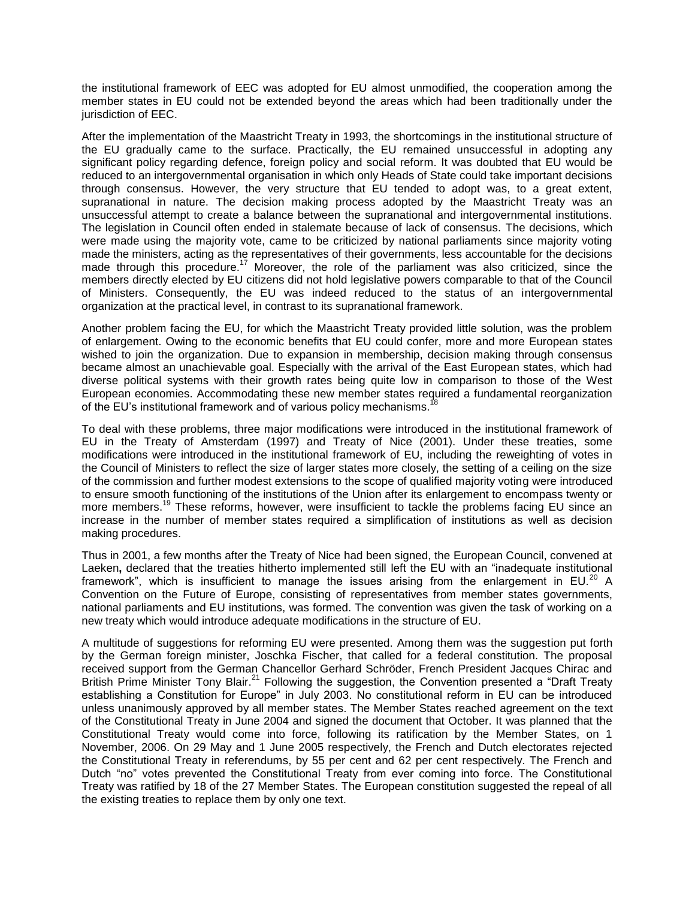the institutional framework of EEC was adopted for EU almost unmodified, the cooperation among the member states in EU could not be extended beyond the areas which had been traditionally under the jurisdiction of EEC.

After the implementation of the Maastricht Treaty in 1993, the shortcomings in the institutional structure of the EU gradually came to the surface. Practically, the EU remained unsuccessful in adopting any significant policy regarding defence, foreign policy and social reform. It was doubted that EU would be reduced to an intergovernmental organisation in which only Heads of State could take important decisions through consensus. However, the very structure that EU tended to adopt was, to a great extent, supranational in nature. The decision making process adopted by the Maastricht Treaty was an unsuccessful attempt to create a balance between the supranational and intergovernmental institutions. The legislation in Council often ended in stalemate because of lack of consensus. The decisions, which were made using the majority vote, came to be criticized by national parliaments since majority voting made the ministers, acting as the representatives of their governments, less accountable for the decisions made through this procedure.<sup>17</sup> Moreover, the role of the parliament was also criticized, since the members directly elected by EU citizens did not hold legislative powers comparable to that of the Council of Ministers. Consequently, the EU was indeed reduced to the status of an intergovernmental organization at the practical level, in contrast to its supranational framework.

Another problem facing the EU, for which the Maastricht Treaty provided little solution, was the problem of enlargement. Owing to the economic benefits that EU could confer, more and more European states wished to join the organization. Due to expansion in membership, decision making through consensus became almost an unachievable goal. Especially with the arrival of the East European states, which had diverse political systems with their growth rates being quite low in comparison to those of the West European economies. Accommodating these new member states required a fundamental reorganization of the EU's institutional framework and of various policy mechanisms.<sup>18</sup>

To deal with these problems, three major modifications were introduced in the institutional framework of EU in the Treaty of Amsterdam (1997) and Treaty of Nice (2001). Under these treaties, some modifications were introduced in the institutional framework of EU, including the reweighting of votes in the Council of Ministers to reflect the size of larger states more closely, the setting of a ceiling on the size of the commission and further modest extensions to the scope of qualified majority voting were introduced to ensure smooth functioning of the institutions of the Union after its enlargement to encompass twenty or more members.<sup>19</sup> These reforms, however, were insufficient to tackle the problems facing EU since an increase in the number of member states required a simplification of institutions as well as decision making procedures.

Thus in 2001, a few months after the Treaty of Nice had been signed, the European Council, convened at Laeken**,** declared that the treaties hitherto implemented still left the EU with an "inadequate institutional framework", which is insufficient to manage the issues arising from the enlargement in EU.<sup>20</sup> A Convention on the Future of Europe, consisting of representatives from member states governments, national parliaments and EU institutions, was formed. The convention was given the task of working on a new treaty which would introduce adequate modifications in the structure of EU.

A multitude of suggestions for reforming EU were presented. Among them was the suggestion put forth by the German foreign minister, Joschka Fischer, that called for a federal constitution. The proposal received support from the German Chancellor Gerhard Schröder, French President Jacques Chirac and British Prime Minister Tony Blair.<sup>21</sup> Following the suggestion, the Convention presented a "Draft Treaty establishing a Constitution for Europe" in July 2003. No constitutional reform in EU can be introduced unless unanimously approved by all member states. The Member States reached agreement on the text of the Constitutional Treaty in June 2004 and signed the document that October. It was planned that the Constitutional Treaty would come into force, following its ratification by the Member States, on 1 November, 2006. On 29 May and 1 June 2005 respectively, the French and Dutch electorates rejected the Constitutional Treaty in referendums, by 55 per cent and 62 per cent respectively. The French and Dutch "no" votes prevented the Constitutional Treaty from ever coming into force. The Constitutional Treaty was ratified by 18 of the 27 Member States. The European constitution suggested the repeal of all the existing treaties to replace them by only one text.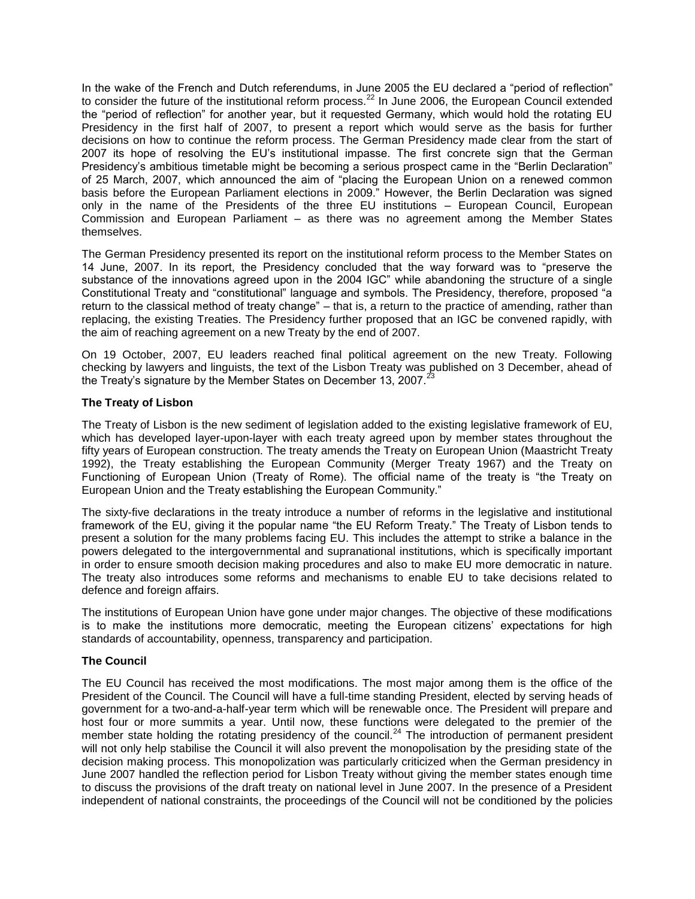In the wake of the French and Dutch referendums, in June 2005 the EU declared a "period of reflection" to consider the future of the institutional reform process.<sup>22</sup> In June 2006, the European Council extended the "period of reflection" for another year, but it requested Germany, which would hold the rotating EU Presidency in the first half of 2007, to present a report which would serve as the basis for further decisions on how to continue the reform process. The German Presidency made clear from the start of 2007 its hope of resolving the EU"s institutional impasse. The first concrete sign that the German Presidency's ambitious timetable might be becoming a serious prospect came in the "Berlin Declaration" of 25 March, 2007, which announced the aim of "placing the European Union on a renewed common basis before the European Parliament elections in 2009." However, the Berlin Declaration was signed only in the name of the Presidents of the three EU institutions – European Council, European Commission and European Parliament – as there was no agreement among the Member States themselves.

The German Presidency presented its report on the institutional reform process to the Member States on 14 June, 2007. In its report, the Presidency concluded that the way forward was to "preserve the substance of the innovations agreed upon in the 2004 IGC" while abandoning the structure of a single Constitutional Treaty and "constitutional" language and symbols. The Presidency, therefore, proposed "a return to the classical method of treaty change" – that is, a return to the practice of amending, rather than replacing, the existing Treaties. The Presidency further proposed that an IGC be convened rapidly, with the aim of reaching agreement on a new Treaty by the end of 2007.

On 19 October, 2007, EU leaders reached final political agreement on the new Treaty. Following checking by lawyers and linguists, the text of the Lisbon Treaty was published on 3 December, ahead of the Treaty's signature by the Member States on December 13, 2007.<sup>23</sup>

## **The Treaty of Lisbon**

The Treaty of Lisbon is the new sediment of legislation added to the existing legislative framework of EU, which has developed layer-upon-layer with each treaty agreed upon by member states throughout the fifty years of European construction. The treaty amends the Treaty on European Union (Maastricht Treaty 1992), the Treaty establishing the European Community (Merger Treaty 1967) and the Treaty on Functioning of European Union (Treaty of Rome). The official name of the treaty is "the Treaty on European Union and the Treaty establishing the European Community."

The sixty-five declarations in the treaty introduce a number of reforms in the legislative and institutional framework of the EU, giving it the popular name "the EU Reform Treaty." The Treaty of Lisbon tends to present a solution for the many problems facing EU. This includes the attempt to strike a balance in the powers delegated to the intergovernmental and supranational institutions, which is specifically important in order to ensure smooth decision making procedures and also to make EU more democratic in nature. The treaty also introduces some reforms and mechanisms to enable EU to take decisions related to defence and foreign affairs.

The institutions of European Union have gone under major changes. The objective of these modifications is to make the institutions more democratic, meeting the European citizens" expectations for high standards of accountability, openness, transparency and participation.

# **The Council**

The EU Council has received the most modifications. The most major among them is the office of the President of the Council. The Council will have a full-time standing President, elected by serving heads of government for a two-and-a-half-year term which will be renewable once. The President will prepare and host four or more summits a year. Until now, these functions were delegated to the premier of the member state holding the rotating presidency of the council.<sup>24</sup> The introduction of permanent president will not only help stabilise the Council it will also prevent the monopolisation by the presiding state of the decision making process. This monopolization was particularly criticized when the German presidency in June 2007 handled the reflection period for Lisbon Treaty without giving the member states enough time to discuss the provisions of the draft treaty on national level in June 2007. In the presence of a President independent of national constraints, the proceedings of the Council will not be conditioned by the policies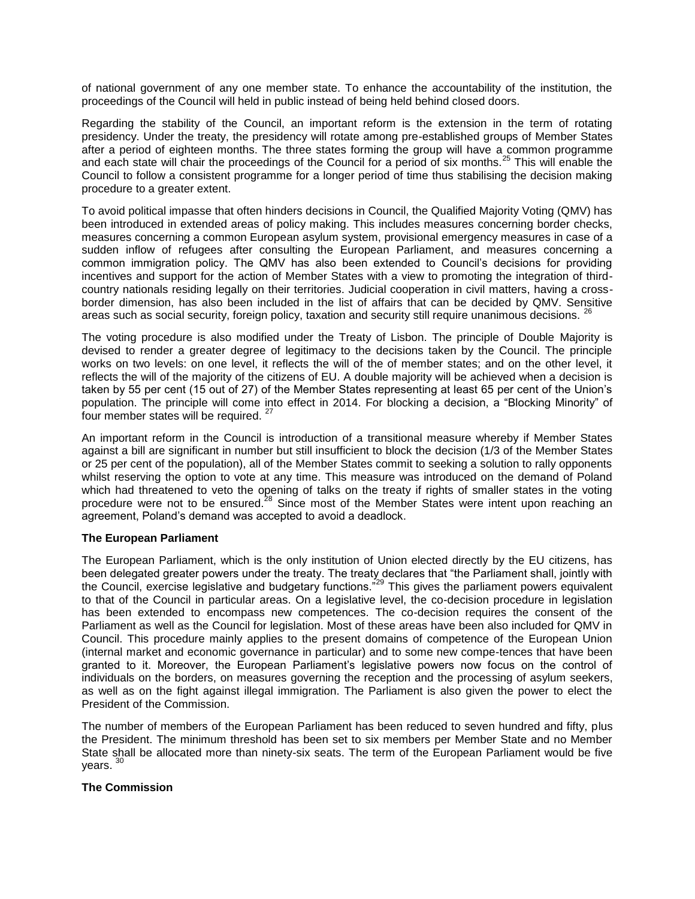of national government of any one member state. To enhance the accountability of the institution, the proceedings of the Council will held in public instead of being held behind closed doors.

Regarding the stability of the Council, an important reform is the extension in the term of rotating presidency. Under the treaty, the presidency will rotate among pre-established groups of Member States after a period of eighteen months. The three states forming the group will have a common programme and each state will chair the proceedings of the Council for a period of six months.<sup>25</sup> This will enable the Council to follow a consistent programme for a longer period of time thus stabilising the decision making procedure to a greater extent.

To avoid political impasse that often hinders decisions in Council, the Qualified Majority Voting (QMV) has been introduced in extended areas of policy making. This includes measures concerning border checks, measures concerning a common European asylum system, provisional emergency measures in case of a sudden inflow of refugees after consulting the European Parliament, and measures concerning a common immigration policy. The QMV has also been extended to Council"s decisions for providing incentives and support for the action of Member States with a view to promoting the integration of thirdcountry nationals residing legally on their territories. Judicial cooperation in civil matters, having a crossborder dimension, has also been included in the list of affairs that can be decided by QMV. Sensitive areas such as social security, foreign policy, taxation and security still require unanimous decisions. <sup>26</sup>

The voting procedure is also modified under the Treaty of Lisbon. The principle of Double Majority is devised to render a greater degree of legitimacy to the decisions taken by the Council. The principle works on two levels: on one level, it reflects the will of the of member states; and on the other level, it reflects the will of the majority of the citizens of EU. A double majority will be achieved when a decision is taken by 55 per cent (15 out of 27) of the Member States representing at least 65 per cent of the Union"s population. The principle will come into effect in 2014. For blocking a decision, a "Blocking Minority" of four member states will be required.  $27$ 

An important reform in the Council is introduction of a transitional measure whereby if Member States against a bill are significant in number but still insufficient to block the decision (1/3 of the Member States or 25 per cent of the population), all of the Member States commit to seeking a solution to rally opponents whilst reserving the option to vote at any time. This measure was introduced on the demand of Poland which had threatened to veto the opening of talks on the treaty if rights of smaller states in the voting procedure were not to be ensured.<sup>28</sup> Since most of the Member States were intent upon reaching an agreement, Poland"s demand was accepted to avoid a deadlock.

### **The European Parliament**

The European Parliament, which is the only institution of Union elected directly by the EU citizens, has been delegated greater powers under the treaty. The treaty declares that "the Parliament shall, jointly with the Council, exercise legislative and budgetary functions."<sup>29</sup> This gives the parliament powers equivalent to that of the Council in particular areas. On a legislative level, the co-decision procedure in legislation has been extended to encompass new competences. The co-decision requires the consent of the Parliament as well as the Council for legislation. Most of these areas have been also included for QMV in Council. This procedure mainly applies to the present domains of competence of the European Union (internal market and economic governance in particular) and to some new compe-tences that have been granted to it. Moreover, the European Parliament's legislative powers now focus on the control of individuals on the borders, on measures governing the reception and the processing of asylum seekers, as well as on the fight against illegal immigration. The Parliament is also given the power to elect the President of the Commission.

The number of members of the European Parliament has been reduced to seven hundred and fifty, plus the President. The minimum threshold has been set to six members per Member State and no Member State shall be allocated more than ninety-six seats. The term of the European Parliament would be five years.<sup>30</sup>

### **The Commission**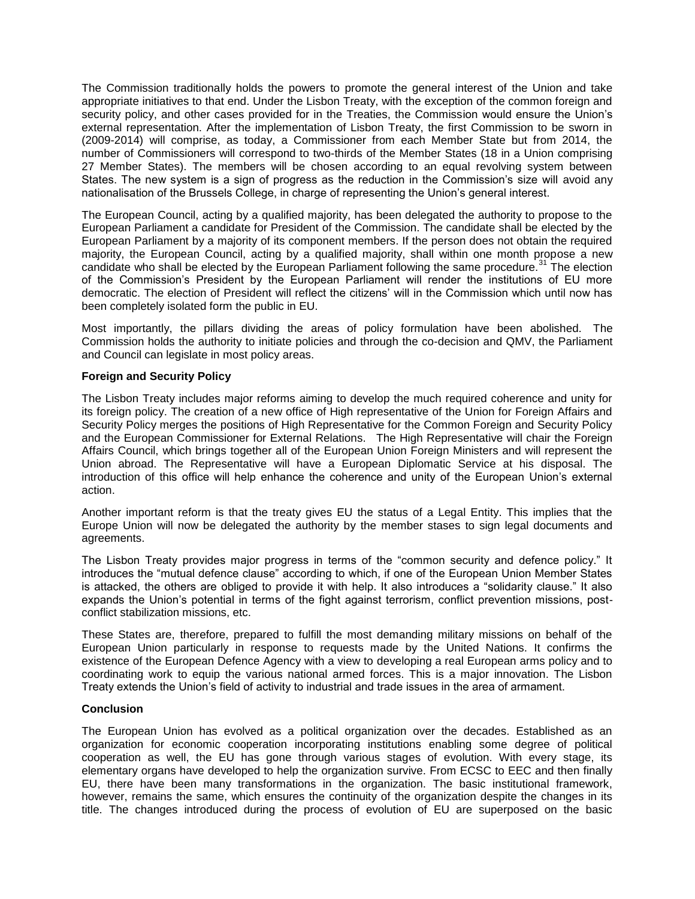The Commission traditionally holds the powers to promote the general interest of the Union and take appropriate initiatives to that end. Under the Lisbon Treaty, with the exception of the common foreign and security policy, and other cases provided for in the Treaties, the Commission would ensure the Union's external representation. After the implementation of Lisbon Treaty, the first Commission to be sworn in (2009-2014) will comprise, as today, a Commissioner from each Member State but from 2014, the number of Commissioners will correspond to two-thirds of the Member States (18 in a Union comprising 27 Member States). The members will be chosen according to an equal revolving system between States. The new system is a sign of progress as the reduction in the Commission's size will avoid any nationalisation of the Brussels College, in charge of representing the Union"s general interest.

The European Council, acting by a qualified majority, has been delegated the authority to propose to the European Parliament a candidate for President of the Commission. The candidate shall be elected by the European Parliament by a majority of its component members. If the person does not obtain the required majority, the European Council, acting by a qualified majority, shall within one month propose a new candidate who shall be elected by the European Parliament following the same procedure. $31$  The election of the Commission"s President by the European Parliament will render the institutions of EU more democratic. The election of President will reflect the citizens" will in the Commission which until now has been completely isolated form the public in EU.

Most importantly, the pillars dividing the areas of policy formulation have been abolished. The Commission holds the authority to initiate policies and through the co-decision and QMV, the Parliament and Council can legislate in most policy areas.

### **Foreign and Security Policy**

The Lisbon Treaty includes major reforms aiming to develop the much required coherence and unity for its foreign policy. The creation of a new office of High representative of the Union for Foreign Affairs and Security Policy merges the positions of High Representative for the Common Foreign and Security Policy and the European Commissioner for External Relations. The High Representative will chair the Foreign Affairs Council, which brings together all of the European Union Foreign Ministers and will represent the Union abroad. The Representative will have a European Diplomatic Service at his disposal. The introduction of this office will help enhance the coherence and unity of the European Union"s external action.

Another important reform is that the treaty gives EU the status of a Legal Entity. This implies that the Europe Union will now be delegated the authority by the member stases to sign legal documents and agreements.

The Lisbon Treaty provides major progress in terms of the "common security and defence policy." It introduces the "mutual defence clause" according to which, if one of the European Union Member States is attacked, the others are obliged to provide it with help. It also introduces a "solidarity clause." It also expands the Union"s potential in terms of the fight against terrorism, conflict prevention missions, postconflict stabilization missions, etc.

These States are, therefore, prepared to fulfill the most demanding military missions on behalf of the European Union particularly in response to requests made by the United Nations. It confirms the existence of the European Defence Agency with a view to developing a real European arms policy and to coordinating work to equip the various national armed forces. This is a major innovation. The Lisbon Treaty extends the Union"s field of activity to industrial and trade issues in the area of armament.

### **Conclusion**

The European Union has evolved as a political organization over the decades. Established as an organization for economic cooperation incorporating institutions enabling some degree of political cooperation as well, the EU has gone through various stages of evolution. With every stage, its elementary organs have developed to help the organization survive. From ECSC to EEC and then finally EU, there have been many transformations in the organization. The basic institutional framework, however, remains the same, which ensures the continuity of the organization despite the changes in its title. The changes introduced during the process of evolution of EU are superposed on the basic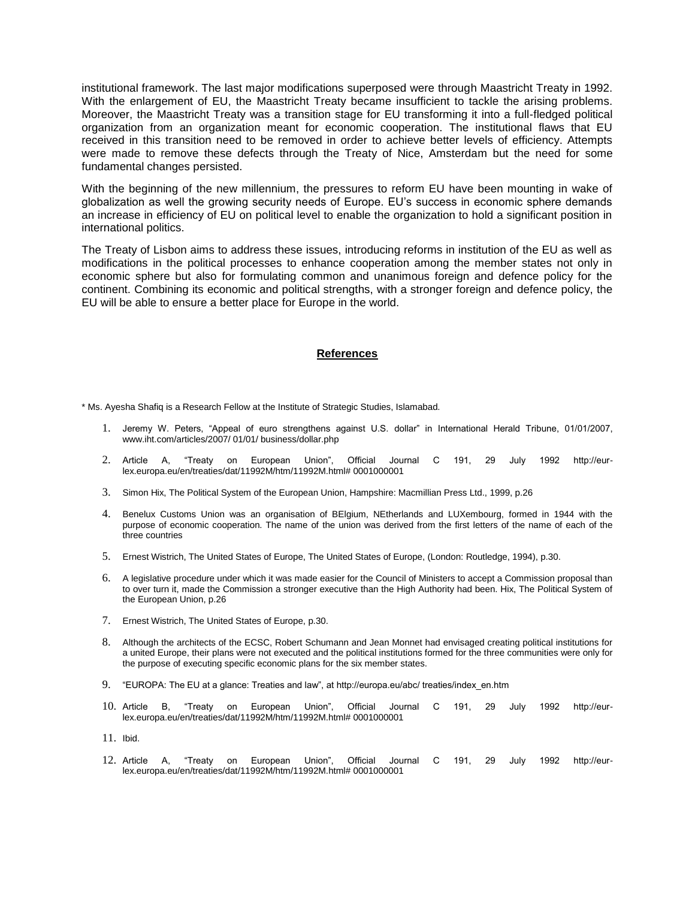institutional framework. The last major modifications superposed were through Maastricht Treaty in 1992. With the enlargement of EU, the Maastricht Treaty became insufficient to tackle the arising problems. Moreover, the Maastricht Treaty was a transition stage for EU transforming it into a full-fledged political organization from an organization meant for economic cooperation. The institutional flaws that EU received in this transition need to be removed in order to achieve better levels of efficiency. Attempts were made to remove these defects through the Treaty of Nice, Amsterdam but the need for some fundamental changes persisted.

With the beginning of the new millennium, the pressures to reform EU have been mounting in wake of globalization as well the growing security needs of Europe. EU"s success in economic sphere demands an increase in efficiency of EU on political level to enable the organization to hold a significant position in international politics.

The Treaty of Lisbon aims to address these issues, introducing reforms in institution of the EU as well as modifications in the political processes to enhance cooperation among the member states not only in economic sphere but also for formulating common and unanimous foreign and defence policy for the continent. Combining its economic and political strengths, with a stronger foreign and defence policy, the EU will be able to ensure a better place for Europe in the world.

#### **References**

\* Ms. Ayesha Shafiq is a Research Fellow at the Institute of Strategic Studies, Islamabad.

- 1. Jeremy W. Peters, "Appeal of euro strengthens against U.S. dollar" in International Herald Tribune, 01/01/2007, www.iht.com/articles/2007/ 01/01/ business/dollar.php
- 2. Article A, "Treaty on European Union", Official Journal C 191, 29 July 1992 http://eurlex.europa.eu/en/treaties/dat/11992M/htm/11992M.html# 0001000001
- 3. Simon Hix, The Political System of the European Union, Hampshire: Macmillian Press Ltd., 1999, p.26
- 4. Benelux Customs Union was an organisation of BElgium, NEtherlands and LUXembourg, formed in 1944 with the purpose of economic cooperation. The name of the union was derived from the first letters of the name of each of the three countries
- 5. Ernest Wistrich, The United States of Europe, The United States of Europe, (London: Routledge, 1994), p.30.
- 6. A legislative procedure under which it was made easier for the Council of Ministers to accept a Commission proposal than to over turn it, made the Commission a stronger executive than the High Authority had been. Hix, The Political System of the European Union, p.26
- 7. Ernest Wistrich, The United States of Europe, p.30.
- 8. Although the architects of the ECSC, Robert Schumann and Jean Monnet had envisaged creating political institutions for a united Europe, their plans were not executed and the political institutions formed for the three communities were only for the purpose of executing specific economic plans for the six member states.
- 9. "EUROPA: The EU at a glance: Treaties and law", at http://europa.eu/abc/ treaties/index\_en.htm
- 10. Article B, "Treaty on European Union", Official Journal C 191, 29 July 1992 http://eurlex.europa.eu/en/treaties/dat/11992M/htm/11992M.html# 0001000001
- 11. Ibid.
- 12. Article A, "Treaty on European Union", Official Journal C 191, 29 July 1992 http://eurlex.europa.eu/en/treaties/dat/11992M/htm/11992M.html# 0001000001